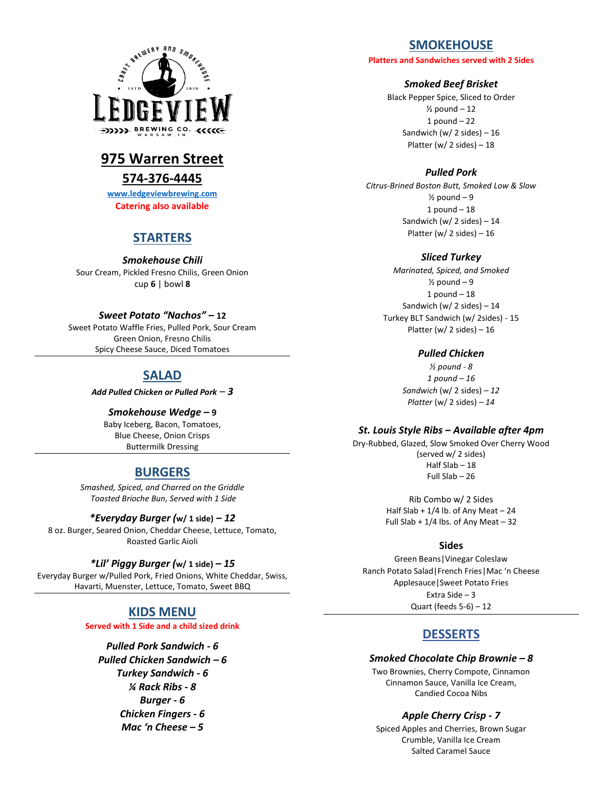

# **975 Warren Street**

### **574-376-4445**

**[www.ledgeviewbrewing.com](http://www.ledgeviewbrewing.com/) Catering also available**

## **STARTERS**

*Smokehouse Chili* Sour Cream, Pickled Fresno Chilis, Green Onion cup **6** | bowl **8**

#### *Sweet Potato "Nachos" –* **12**

Sweet Potato Waffle Fries, Pulled Pork, Sour Cream Green Onion, Fresno Chilis Spicy Cheese Sauce, Diced Tomatoes

## **SALAD**

*Add Pulled Chicken or Pulled Pork – 3*

*Smokehouse Wedge –* **9** Baby Iceberg, Bacon, Tomatoes, Blue Cheese, Onion Crisps Buttermilk Dressing

## **BURGERS**

*Smashed, Spiced, and Charred on the Griddle Toasted Brioche Bun, Served with 1 Side*

#### *\*Everyday Burger (***w/ 1 side)** *– 12*

8 oz. Burger, Seared Onion, Cheddar Cheese, Lettuce, Tomato, Roasted Garlic Aioli

#### *\*Lil' Piggy Burger (***w/ 1 side)** *– 15*

Everyday Burger w/Pulled Pork, Fried Onions, White Cheddar, Swiss, Havarti, Muenster, Lettuce, Tomato, Sweet BBQ

# **KIDS MENU**

**Served with 1 Side and a child sized drink**

*Pulled Pork Sandwich - 6 Pulled Chicken Sandwich – 6 Turkey Sandwich - 6 ¼ Rack Ribs - 8 Burger - 6 Chicken Fingers - 6 Mac 'n Cheese – 5*

## **SMOKEHOUSE**

**Platters and Sandwiches served with 2 Sides**

#### *Smoked Beef Brisket*

Black Pepper Spice, Sliced to Order  $\frac{1}{2}$  pound  $-12$ 1 pound  $-22$ Sandwich (w/ 2 sides)  $-16$ Platter (w/ 2 sides)  $-18$ 

#### *Pulled Pork*

*Citrus-Brined Boston Butt, Smoked Low & Slow*  $\frac{1}{2}$  pound  $-9$  $1$  pound  $-18$ Sandwich (w/ 2 sides)  $-14$ Platter (w/ 2 sides) – 16

#### *Sliced Turkey*

*Marinated, Spiced, and Smoked*  $\frac{1}{2}$  pound  $-9$  $1$  pound  $-18$ Sandwich (w/ 2 sides)  $-14$ Turkey BLT Sandwich (w/ 2sides) - 15 Platter (w/ 2 sides) – 16

#### *Pulled Chicken*

*½ pound - 8 1 pound – 16 Sandwich* (w/ 2 sides) *– 12 Platter* (w/ 2 sides) *– 14*

#### *St. Louis Style Ribs – Available after 4pm*

Dry-Rubbed, Glazed, Slow Smoked Over Cherry Wood (served w/ 2 sides) Half Slab – 18 Full Slab – 26

> Rib Combo w/ 2 Sides Half Slab  $+1/4$  lb. of Any Meat  $-24$ Full Slab +  $1/4$  lbs. of Any Meat - 32

#### **Sides**

Green Beans|Vinegar Coleslaw Ranch Potato Salad|French Fries|Mac 'n Cheese Applesauce|Sweet Potato Fries Extra Side – 3 Quart (feeds  $5-6$ ) – 12

## **DESSERTS**

#### *Smoked Chocolate Chip Brownie – 8*

Two Brownies, Cherry Compote, Cinnamon Cinnamon Sauce, Vanilla Ice Cream, Candied Cocoa Nibs

#### *Apple Cherry Crisp - 7*

Spiced Apples and Cherries, Brown Sugar Crumble, Vanilla Ice Cream Salted Caramel Sauce